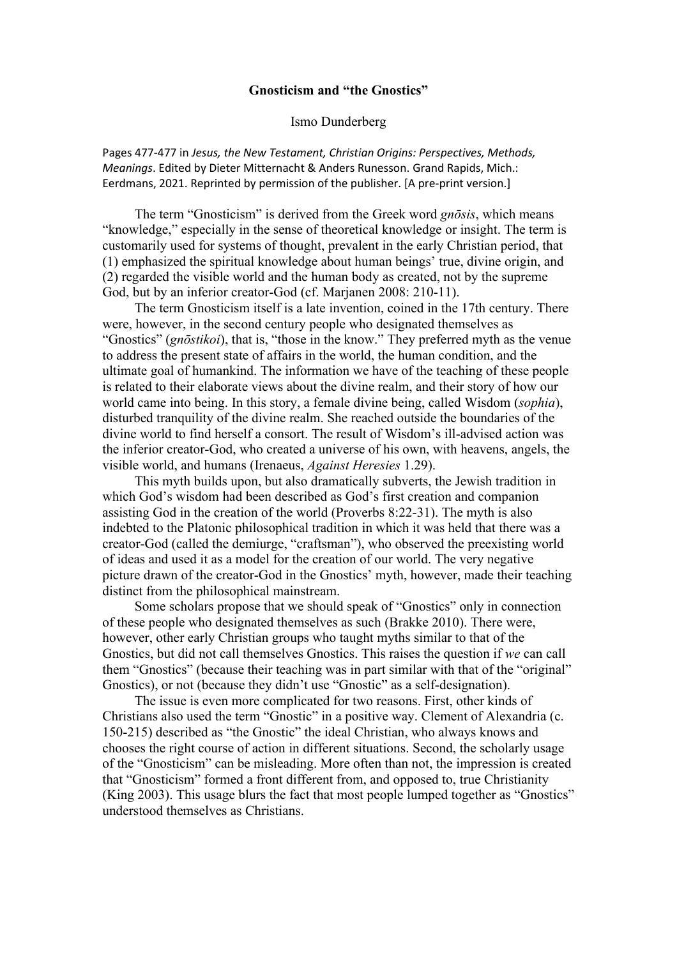## **Gnosticism and "the Gnostics"**

### Ismo Dunderberg

Pages 477-477 in *Jesus, the New Testament, Christian Origins: Perspectives, Methods, Meanings*. Edited by Dieter Mitternacht & Anders Runesson. Grand Rapids, Mich.: Eerdmans, 2021. Reprinted by permission of the publisher. [A pre-print version.]

The term "Gnosticism" is derived from the Greek word *gnōsis*, which means "knowledge," especially in the sense of theoretical knowledge or insight. The term is customarily used for systems of thought, prevalent in the early Christian period, that (1) emphasized the spiritual knowledge about human beings' true, divine origin, and (2) regarded the visible world and the human body as created, not by the supreme God, but by an inferior creator-God (cf. Marjanen 2008: 210-11).

The term Gnosticism itself is a late invention, coined in the 17th century. There were, however, in the second century people who designated themselves as "Gnostics" (*gnōstikoi*), that is, "those in the know." They preferred myth as the venue to address the present state of affairs in the world, the human condition, and the ultimate goal of humankind. The information we have of the teaching of these people is related to their elaborate views about the divine realm, and their story of how our world came into being. In this story, a female divine being, called Wisdom (*sophia*), disturbed tranquility of the divine realm. She reached outside the boundaries of the divine world to find herself a consort. The result of Wisdom's ill-advised action was the inferior creator-God, who created a universe of his own, with heavens, angels, the visible world, and humans (Irenaeus, *Against Heresies* 1.29).

This myth builds upon, but also dramatically subverts, the Jewish tradition in which God's wisdom had been described as God's first creation and companion assisting God in the creation of the world (Proverbs 8:22-31). The myth is also indebted to the Platonic philosophical tradition in which it was held that there was a creator-God (called the demiurge, "craftsman"), who observed the preexisting world of ideas and used it as a model for the creation of our world. The very negative picture drawn of the creator-God in the Gnostics' myth, however, made their teaching distinct from the philosophical mainstream.

Some scholars propose that we should speak of "Gnostics" only in connection of these people who designated themselves as such (Brakke 2010). There were, however, other early Christian groups who taught myths similar to that of the Gnostics, but did not call themselves Gnostics. This raises the question if *we* can call them "Gnostics" (because their teaching was in part similar with that of the "original" Gnostics), or not (because they didn't use "Gnostic" as a self-designation).

The issue is even more complicated for two reasons. First, other kinds of Christians also used the term "Gnostic" in a positive way. Clement of Alexandria (c. 150-215) described as "the Gnostic" the ideal Christian, who always knows and chooses the right course of action in different situations. Second, the scholarly usage of the "Gnosticism" can be misleading. More often than not, the impression is created that "Gnosticism" formed a front different from, and opposed to, true Christianity (King 2003). This usage blurs the fact that most people lumped together as "Gnostics" understood themselves as Christians.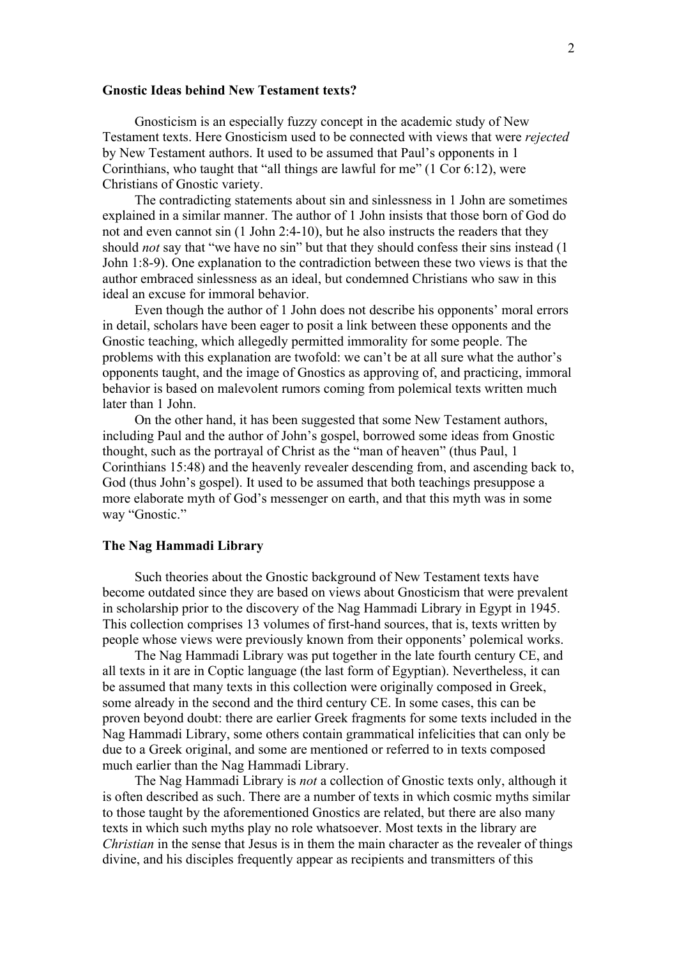### **Gnostic Ideas behind New Testament texts?**

Gnosticism is an especially fuzzy concept in the academic study of New Testament texts. Here Gnosticism used to be connected with views that were *rejected* by New Testament authors. It used to be assumed that Paul's opponents in 1 Corinthians, who taught that "all things are lawful for me" (1 Cor 6:12), were Christians of Gnostic variety.

The contradicting statements about sin and sinlessness in 1 John are sometimes explained in a similar manner. The author of 1 John insists that those born of God do not and even cannot sin (1 John 2:4-10), but he also instructs the readers that they should *not* say that "we have no sin" but that they should confess their sins instead (1 John 1:8-9). One explanation to the contradiction between these two views is that the author embraced sinlessness as an ideal, but condemned Christians who saw in this ideal an excuse for immoral behavior.

Even though the author of 1 John does not describe his opponents' moral errors in detail, scholars have been eager to posit a link between these opponents and the Gnostic teaching, which allegedly permitted immorality for some people. The problems with this explanation are twofold: we can't be at all sure what the author's opponents taught, and the image of Gnostics as approving of, and practicing, immoral behavior is based on malevolent rumors coming from polemical texts written much later than 1 John.

On the other hand, it has been suggested that some New Testament authors, including Paul and the author of John's gospel, borrowed some ideas from Gnostic thought, such as the portrayal of Christ as the "man of heaven" (thus Paul, 1 Corinthians 15:48) and the heavenly revealer descending from, and ascending back to, God (thus John's gospel). It used to be assumed that both teachings presuppose a more elaborate myth of God's messenger on earth, and that this myth was in some way "Gnostic."

#### **The Nag Hammadi Library**

Such theories about the Gnostic background of New Testament texts have become outdated since they are based on views about Gnosticism that were prevalent in scholarship prior to the discovery of the Nag Hammadi Library in Egypt in 1945. This collection comprises 13 volumes of first-hand sources, that is, texts written by people whose views were previously known from their opponents' polemical works.

The Nag Hammadi Library was put together in the late fourth century CE, and all texts in it are in Coptic language (the last form of Egyptian). Nevertheless, it can be assumed that many texts in this collection were originally composed in Greek, some already in the second and the third century CE. In some cases, this can be proven beyond doubt: there are earlier Greek fragments for some texts included in the Nag Hammadi Library, some others contain grammatical infelicities that can only be due to a Greek original, and some are mentioned or referred to in texts composed much earlier than the Nag Hammadi Library.

The Nag Hammadi Library is *not* a collection of Gnostic texts only, although it is often described as such. There are a number of texts in which cosmic myths similar to those taught by the aforementioned Gnostics are related, but there are also many texts in which such myths play no role whatsoever. Most texts in the library are *Christian* in the sense that Jesus is in them the main character as the revealer of things divine, and his disciples frequently appear as recipients and transmitters of this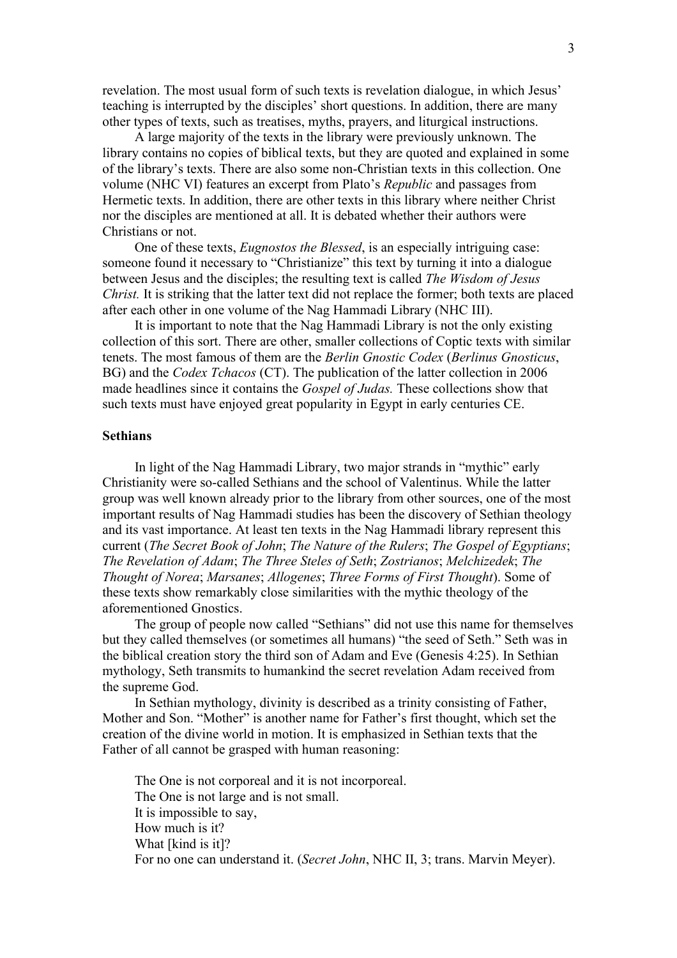revelation. The most usual form of such texts is revelation dialogue, in which Jesus' teaching is interrupted by the disciples' short questions. In addition, there are many other types of texts, such as treatises, myths, prayers, and liturgical instructions.

A large majority of the texts in the library were previously unknown. The library contains no copies of biblical texts, but they are quoted and explained in some of the library's texts. There are also some non-Christian texts in this collection. One volume (NHC VI) features an excerpt from Plato's *Republic* and passages from Hermetic texts. In addition, there are other texts in this library where neither Christ nor the disciples are mentioned at all. It is debated whether their authors were Christians or not.

One of these texts, *Eugnostos the Blessed*, is an especially intriguing case: someone found it necessary to "Christianize" this text by turning it into a dialogue between Jesus and the disciples; the resulting text is called *The Wisdom of Jesus Christ.* It is striking that the latter text did not replace the former; both texts are placed after each other in one volume of the Nag Hammadi Library (NHC III).

It is important to note that the Nag Hammadi Library is not the only existing collection of this sort. There are other, smaller collections of Coptic texts with similar tenets. The most famous of them are the *Berlin Gnostic Codex* (*Berlinus Gnosticus*, BG) and the *Codex Tchacos* (CT). The publication of the latter collection in 2006 made headlines since it contains the *Gospel of Judas.* These collections show that such texts must have enjoyed great popularity in Egypt in early centuries CE.

# **Sethians**

In light of the Nag Hammadi Library, two major strands in "mythic" early Christianity were so-called Sethians and the school of Valentinus. While the latter group was well known already prior to the library from other sources, one of the most important results of Nag Hammadi studies has been the discovery of Sethian theology and its vast importance. At least ten texts in the Nag Hammadi library represent this current (*The Secret Book of John*; *The Nature of the Rulers*; *The Gospel of Egyptians*; *The Revelation of Adam*; *The Three Steles of Seth*; *Zostrianos*; *Melchizedek*; *The Thought of Norea*; *Marsanes*; *Allogenes*; *Three Forms of First Thought*). Some of these texts show remarkably close similarities with the mythic theology of the aforementioned Gnostics.

The group of people now called "Sethians" did not use this name for themselves but they called themselves (or sometimes all humans) "the seed of Seth." Seth was in the biblical creation story the third son of Adam and Eve (Genesis 4:25). In Sethian mythology, Seth transmits to humankind the secret revelation Adam received from the supreme God.

In Sethian mythology, divinity is described as a trinity consisting of Father, Mother and Son. "Mother" is another name for Father's first thought, which set the creation of the divine world in motion. It is emphasized in Sethian texts that the Father of all cannot be grasped with human reasoning:

The One is not corporeal and it is not incorporeal. The One is not large and is not small. It is impossible to say, How much is it? What [kind is it]? For no one can understand it. (*Secret John*, NHC II, 3; trans. Marvin Meyer).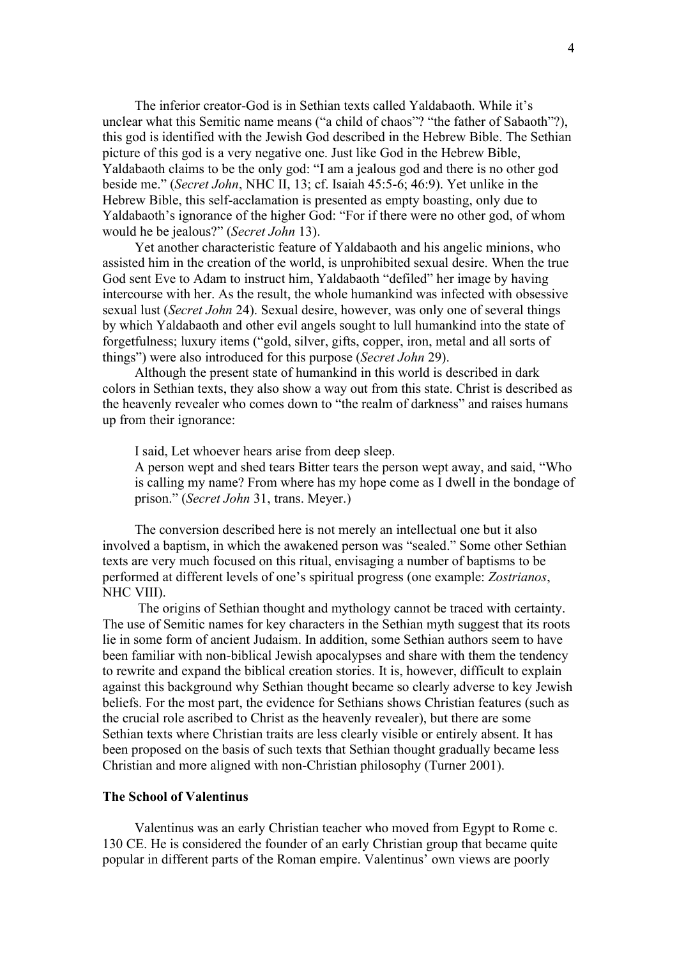The inferior creator-God is in Sethian texts called Yaldabaoth. While it's unclear what this Semitic name means ("a child of chaos"? "the father of Sabaoth"?), this god is identified with the Jewish God described in the Hebrew Bible. The Sethian picture of this god is a very negative one. Just like God in the Hebrew Bible, Yaldabaoth claims to be the only god: "I am a jealous god and there is no other god beside me." (*Secret John*, NHC II, 13; cf. Isaiah 45:5-6; 46:9). Yet unlike in the Hebrew Bible, this self-acclamation is presented as empty boasting, only due to Yaldabaoth's ignorance of the higher God: "For if there were no other god, of whom would he be jealous?" (*Secret John* 13).

Yet another characteristic feature of Yaldabaoth and his angelic minions, who assisted him in the creation of the world, is unprohibited sexual desire. When the true God sent Eve to Adam to instruct him, Yaldabaoth "defiled" her image by having intercourse with her. As the result, the whole humankind was infected with obsessive sexual lust (*Secret John* 24). Sexual desire, however, was only one of several things by which Yaldabaoth and other evil angels sought to lull humankind into the state of forgetfulness; luxury items ("gold, silver, gifts, copper, iron, metal and all sorts of things") were also introduced for this purpose (*Secret John* 29).

Although the present state of humankind in this world is described in dark colors in Sethian texts, they also show a way out from this state. Christ is described as the heavenly revealer who comes down to "the realm of darkness" and raises humans up from their ignorance:

I said, Let whoever hears arise from deep sleep.

A person wept and shed tears Bitter tears the person wept away, and said, "Who is calling my name? From where has my hope come as I dwell in the bondage of prison." (*Secret John* 31, trans. Meyer.)

The conversion described here is not merely an intellectual one but it also involved a baptism, in which the awakened person was "sealed." Some other Sethian texts are very much focused on this ritual, envisaging a number of baptisms to be performed at different levels of one's spiritual progress (one example: *Zostrianos*, NHC VIII).

The origins of Sethian thought and mythology cannot be traced with certainty. The use of Semitic names for key characters in the Sethian myth suggest that its roots lie in some form of ancient Judaism. In addition, some Sethian authors seem to have been familiar with non-biblical Jewish apocalypses and share with them the tendency to rewrite and expand the biblical creation stories. It is, however, difficult to explain against this background why Sethian thought became so clearly adverse to key Jewish beliefs. For the most part, the evidence for Sethians shows Christian features (such as the crucial role ascribed to Christ as the heavenly revealer), but there are some Sethian texts where Christian traits are less clearly visible or entirely absent. It has been proposed on the basis of such texts that Sethian thought gradually became less Christian and more aligned with non-Christian philosophy (Turner 2001).

#### **The School of Valentinus**

Valentinus was an early Christian teacher who moved from Egypt to Rome c. 130 CE. He is considered the founder of an early Christian group that became quite popular in different parts of the Roman empire. Valentinus' own views are poorly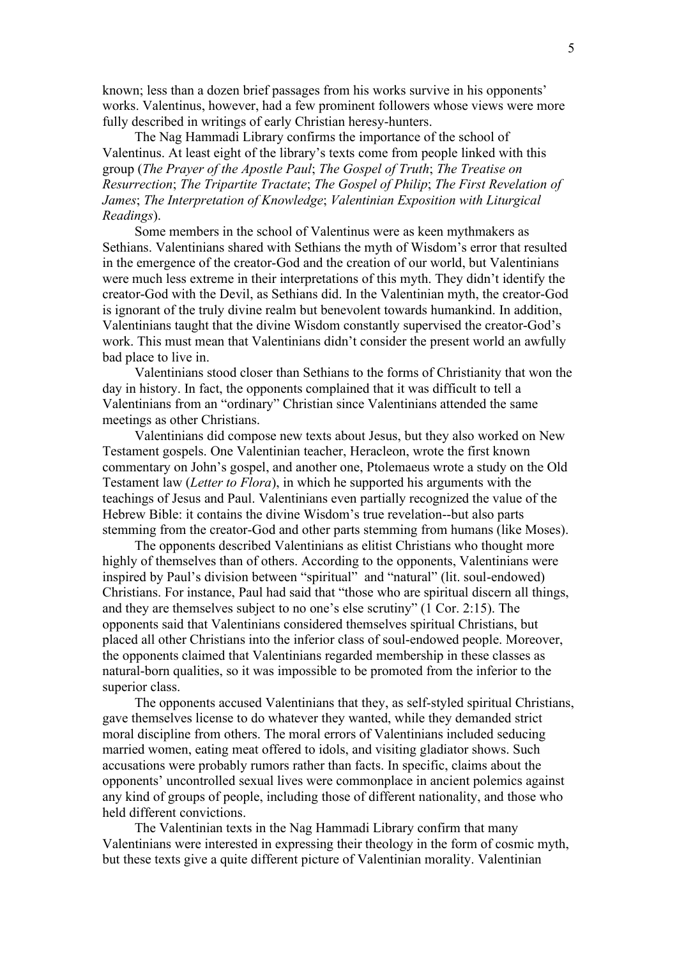known; less than a dozen brief passages from his works survive in his opponents' works. Valentinus, however, had a few prominent followers whose views were more fully described in writings of early Christian heresy-hunters.

The Nag Hammadi Library confirms the importance of the school of Valentinus. At least eight of the library's texts come from people linked with this group (*The Prayer of the Apostle Paul*; *The Gospel of Truth*; *The Treatise on Resurrection*; *The Tripartite Tractate*; *The Gospel of Philip*; *The First Revelation of James*; *The Interpretation of Knowledge*; *Valentinian Exposition with Liturgical Readings*).

Some members in the school of Valentinus were as keen mythmakers as Sethians. Valentinians shared with Sethians the myth of Wisdom's error that resulted in the emergence of the creator-God and the creation of our world, but Valentinians were much less extreme in their interpretations of this myth. They didn't identify the creator-God with the Devil, as Sethians did. In the Valentinian myth, the creator-God is ignorant of the truly divine realm but benevolent towards humankind. In addition, Valentinians taught that the divine Wisdom constantly supervised the creator-God's work. This must mean that Valentinians didn't consider the present world an awfully bad place to live in.

Valentinians stood closer than Sethians to the forms of Christianity that won the day in history. In fact, the opponents complained that it was difficult to tell a Valentinians from an "ordinary" Christian since Valentinians attended the same meetings as other Christians.

Valentinians did compose new texts about Jesus, but they also worked on New Testament gospels. One Valentinian teacher, Heracleon, wrote the first known commentary on John's gospel, and another one, Ptolemaeus wrote a study on the Old Testament law (*Letter to Flora*), in which he supported his arguments with the teachings of Jesus and Paul. Valentinians even partially recognized the value of the Hebrew Bible: it contains the divine Wisdom's true revelation--but also parts stemming from the creator-God and other parts stemming from humans (like Moses).

The opponents described Valentinians as elitist Christians who thought more highly of themselves than of others. According to the opponents, Valentinians were inspired by Paul's division between "spiritual" and "natural" (lit. soul-endowed) Christians. For instance, Paul had said that "those who are spiritual discern all things, and they are themselves subject to no one's else scrutiny" (1 Cor. 2:15). The opponents said that Valentinians considered themselves spiritual Christians, but placed all other Christians into the inferior class of soul-endowed people. Moreover, the opponents claimed that Valentinians regarded membership in these classes as natural-born qualities, so it was impossible to be promoted from the inferior to the superior class.

The opponents accused Valentinians that they, as self-styled spiritual Christians, gave themselves license to do whatever they wanted, while they demanded strict moral discipline from others. The moral errors of Valentinians included seducing married women, eating meat offered to idols, and visiting gladiator shows. Such accusations were probably rumors rather than facts. In specific, claims about the opponents' uncontrolled sexual lives were commonplace in ancient polemics against any kind of groups of people, including those of different nationality, and those who held different convictions.

The Valentinian texts in the Nag Hammadi Library confirm that many Valentinians were interested in expressing their theology in the form of cosmic myth, but these texts give a quite different picture of Valentinian morality. Valentinian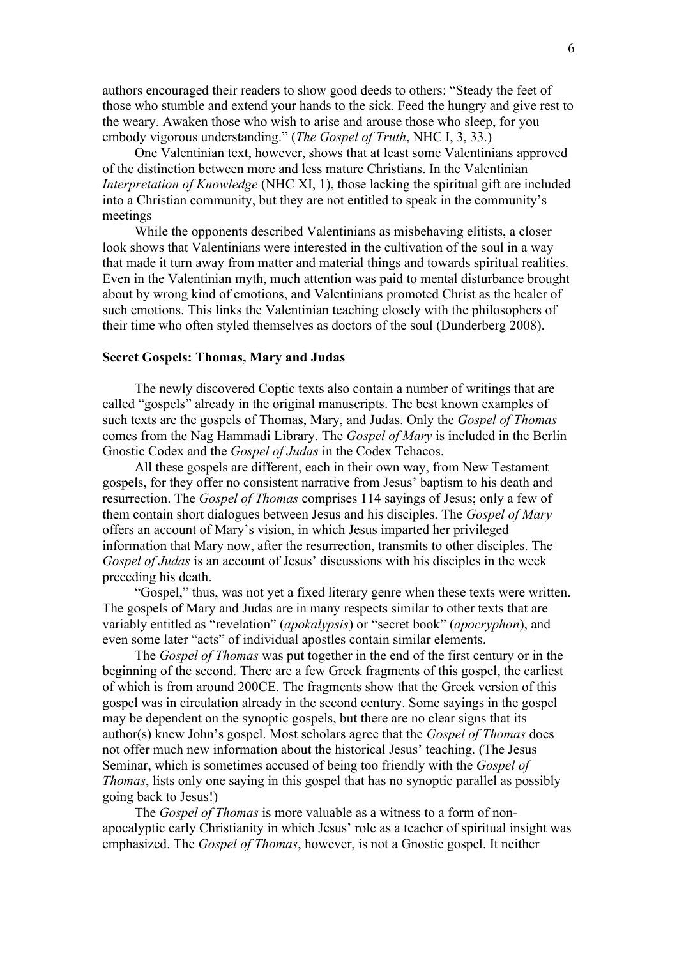authors encouraged their readers to show good deeds to others: "Steady the feet of those who stumble and extend your hands to the sick. Feed the hungry and give rest to the weary. Awaken those who wish to arise and arouse those who sleep, for you embody vigorous understanding." (*The Gospel of Truth*, NHC I, 3, 33.)

One Valentinian text, however, shows that at least some Valentinians approved of the distinction between more and less mature Christians. In the Valentinian *Interpretation of Knowledge* (NHC XI, 1), those lacking the spiritual gift are included into a Christian community, but they are not entitled to speak in the community's meetings

While the opponents described Valentinians as misbehaving elitists, a closer look shows that Valentinians were interested in the cultivation of the soul in a way that made it turn away from matter and material things and towards spiritual realities. Even in the Valentinian myth, much attention was paid to mental disturbance brought about by wrong kind of emotions, and Valentinians promoted Christ as the healer of such emotions. This links the Valentinian teaching closely with the philosophers of their time who often styled themselves as doctors of the soul (Dunderberg 2008).

# **Secret Gospels: Thomas, Mary and Judas**

The newly discovered Coptic texts also contain a number of writings that are called "gospels" already in the original manuscripts. The best known examples of such texts are the gospels of Thomas, Mary, and Judas. Only the *Gospel of Thomas* comes from the Nag Hammadi Library. The *Gospel of Mary* is included in the Berlin Gnostic Codex and the *Gospel of Judas* in the Codex Tchacos.

All these gospels are different, each in their own way, from New Testament gospels, for they offer no consistent narrative from Jesus' baptism to his death and resurrection. The *Gospel of Thomas* comprises 114 sayings of Jesus; only a few of them contain short dialogues between Jesus and his disciples. The *Gospel of Mary* offers an account of Mary's vision, in which Jesus imparted her privileged information that Mary now, after the resurrection, transmits to other disciples. The *Gospel of Judas* is an account of Jesus' discussions with his disciples in the week preceding his death.

"Gospel," thus, was not yet a fixed literary genre when these texts were written. The gospels of Mary and Judas are in many respects similar to other texts that are variably entitled as "revelation" (*apokalypsis*) or "secret book" (*apocryphon*), and even some later "acts" of individual apostles contain similar elements.

The *Gospel of Thomas* was put together in the end of the first century or in the beginning of the second. There are a few Greek fragments of this gospel, the earliest of which is from around 200CE. The fragments show that the Greek version of this gospel was in circulation already in the second century. Some sayings in the gospel may be dependent on the synoptic gospels, but there are no clear signs that its author(s) knew John's gospel. Most scholars agree that the *Gospel of Thomas* does not offer much new information about the historical Jesus' teaching. (The Jesus Seminar, which is sometimes accused of being too friendly with the *Gospel of Thomas*, lists only one saying in this gospel that has no synoptic parallel as possibly going back to Jesus!)

The *Gospel of Thomas* is more valuable as a witness to a form of nonapocalyptic early Christianity in which Jesus' role as a teacher of spiritual insight was emphasized. The *Gospel of Thomas*, however, is not a Gnostic gospel. It neither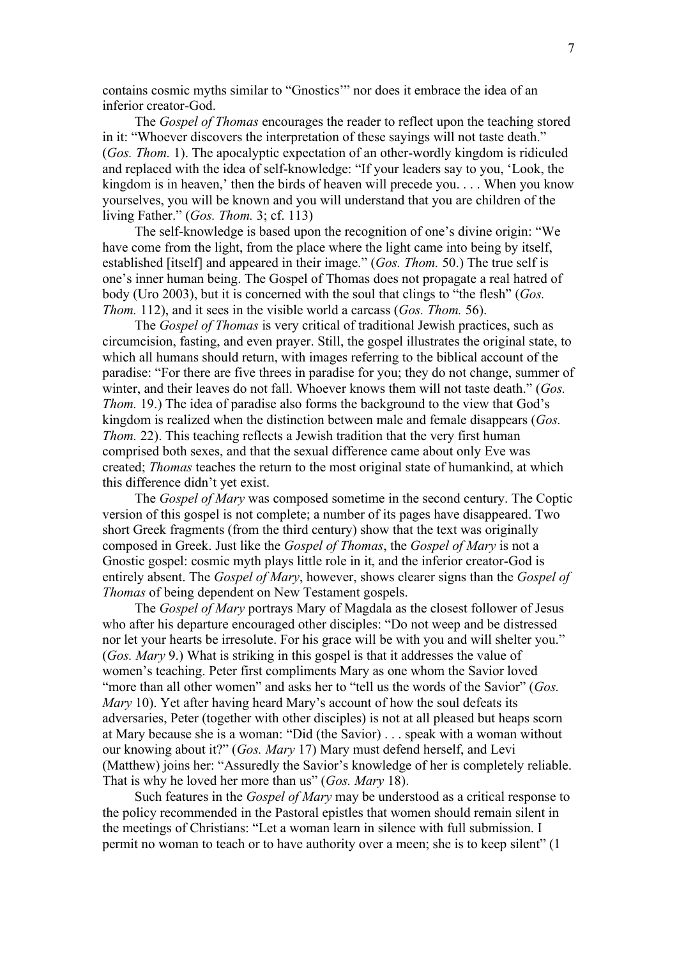contains cosmic myths similar to "Gnostics'" nor does it embrace the idea of an inferior creator-God.

The *Gospel of Thomas* encourages the reader to reflect upon the teaching stored in it: "Whoever discovers the interpretation of these sayings will not taste death." (*Gos. Thom.* 1). The apocalyptic expectation of an other-wordly kingdom is ridiculed and replaced with the idea of self-knowledge: "If your leaders say to you, 'Look, the kingdom is in heaven,' then the birds of heaven will precede you. . . . When you know yourselves, you will be known and you will understand that you are children of the living Father." (*Gos. Thom.* 3; cf. 113)

The self-knowledge is based upon the recognition of one's divine origin: "We have come from the light, from the place where the light came into being by itself, established [itself] and appeared in their image." (*Gos. Thom.* 50.) The true self is one's inner human being. The Gospel of Thomas does not propagate a real hatred of body (Uro 2003), but it is concerned with the soul that clings to "the flesh" (*Gos. Thom.* 112), and it sees in the visible world a carcass (*Gos. Thom.* 56).

The *Gospel of Thomas* is very critical of traditional Jewish practices, such as circumcision, fasting, and even prayer. Still, the gospel illustrates the original state, to which all humans should return, with images referring to the biblical account of the paradise: "For there are five threes in paradise for you; they do not change, summer of winter, and their leaves do not fall. Whoever knows them will not taste death." (*Gos. Thom.* 19.) The idea of paradise also forms the background to the view that God's kingdom is realized when the distinction between male and female disappears (*Gos. Thom.* 22). This teaching reflects a Jewish tradition that the very first human comprised both sexes, and that the sexual difference came about only Eve was created; *Thomas* teaches the return to the most original state of humankind, at which this difference didn't yet exist.

The *Gospel of Mary* was composed sometime in the second century. The Coptic version of this gospel is not complete; a number of its pages have disappeared. Two short Greek fragments (from the third century) show that the text was originally composed in Greek. Just like the *Gospel of Thomas*, the *Gospel of Mary* is not a Gnostic gospel: cosmic myth plays little role in it, and the inferior creator-God is entirely absent. The *Gospel of Mary*, however, shows clearer signs than the *Gospel of Thomas* of being dependent on New Testament gospels.

The *Gospel of Mary* portrays Mary of Magdala as the closest follower of Jesus who after his departure encouraged other disciples: "Do not weep and be distressed nor let your hearts be irresolute. For his grace will be with you and will shelter you." (*Gos. Mary* 9.) What is striking in this gospel is that it addresses the value of women's teaching. Peter first compliments Mary as one whom the Savior loved "more than all other women" and asks her to "tell us the words of the Savior" (*Gos. Mary* 10). Yet after having heard Mary's account of how the soul defeats its adversaries, Peter (together with other disciples) is not at all pleased but heaps scorn at Mary because she is a woman: "Did (the Savior) . . . speak with a woman without our knowing about it?" (*Gos. Mary* 17) Mary must defend herself, and Levi (Matthew) joins her: "Assuredly the Savior's knowledge of her is completely reliable. That is why he loved her more than us" (*Gos. Mary* 18).

Such features in the *Gospel of Mary* may be understood as a critical response to the policy recommended in the Pastoral epistles that women should remain silent in the meetings of Christians: "Let a woman learn in silence with full submission. I permit no woman to teach or to have authority over a meen; she is to keep silent" (1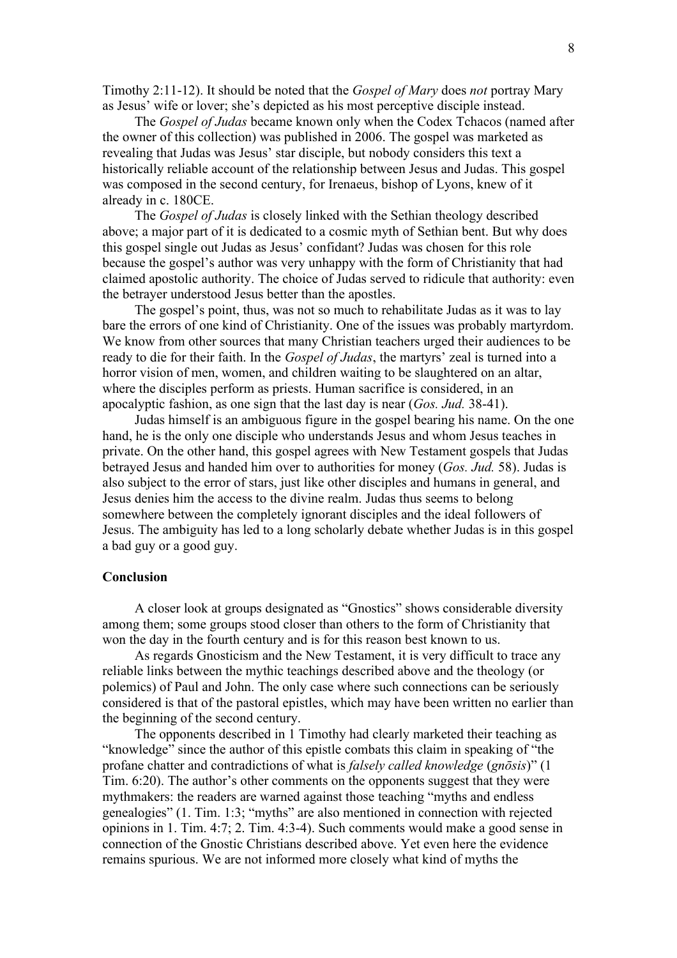Timothy 2:11-12). It should be noted that the *Gospel of Mary* does *not* portray Mary as Jesus' wife or lover; she's depicted as his most perceptive disciple instead.

The *Gospel of Judas* became known only when the Codex Tchacos (named after the owner of this collection) was published in 2006. The gospel was marketed as revealing that Judas was Jesus' star disciple, but nobody considers this text a historically reliable account of the relationship between Jesus and Judas. This gospel was composed in the second century, for Irenaeus, bishop of Lyons, knew of it already in c. 180CE.

The *Gospel of Judas* is closely linked with the Sethian theology described above; a major part of it is dedicated to a cosmic myth of Sethian bent. But why does this gospel single out Judas as Jesus' confidant? Judas was chosen for this role because the gospel's author was very unhappy with the form of Christianity that had claimed apostolic authority. The choice of Judas served to ridicule that authority: even the betrayer understood Jesus better than the apostles.

The gospel's point, thus, was not so much to rehabilitate Judas as it was to lay bare the errors of one kind of Christianity. One of the issues was probably martyrdom. We know from other sources that many Christian teachers urged their audiences to be ready to die for their faith. In the *Gospel of Judas*, the martyrs' zeal is turned into a horror vision of men, women, and children waiting to be slaughtered on an altar, where the disciples perform as priests. Human sacrifice is considered, in an apocalyptic fashion, as one sign that the last day is near (*Gos. Jud.* 38-41).

Judas himself is an ambiguous figure in the gospel bearing his name. On the one hand, he is the only one disciple who understands Jesus and whom Jesus teaches in private. On the other hand, this gospel agrees with New Testament gospels that Judas betrayed Jesus and handed him over to authorities for money (*Gos. Jud.* 58). Judas is also subject to the error of stars, just like other disciples and humans in general, and Jesus denies him the access to the divine realm. Judas thus seems to belong somewhere between the completely ignorant disciples and the ideal followers of Jesus. The ambiguity has led to a long scholarly debate whether Judas is in this gospel a bad guy or a good guy.

### **Conclusion**

A closer look at groups designated as "Gnostics" shows considerable diversity among them; some groups stood closer than others to the form of Christianity that won the day in the fourth century and is for this reason best known to us.

As regards Gnosticism and the New Testament, it is very difficult to trace any reliable links between the mythic teachings described above and the theology (or polemics) of Paul and John. The only case where such connections can be seriously considered is that of the pastoral epistles, which may have been written no earlier than the beginning of the second century.

The opponents described in 1 Timothy had clearly marketed their teaching as "knowledge" since the author of this epistle combats this claim in speaking of "the profane chatter and contradictions of what is *falsely called knowledge* (*gnōsis*)" (1 Tim. 6:20). The author's other comments on the opponents suggest that they were mythmakers: the readers are warned against those teaching "myths and endless genealogies" (1. Tim. 1:3; "myths" are also mentioned in connection with rejected opinions in 1. Tim. 4:7; 2. Tim. 4:3-4). Such comments would make a good sense in connection of the Gnostic Christians described above. Yet even here the evidence remains spurious. We are not informed more closely what kind of myths the